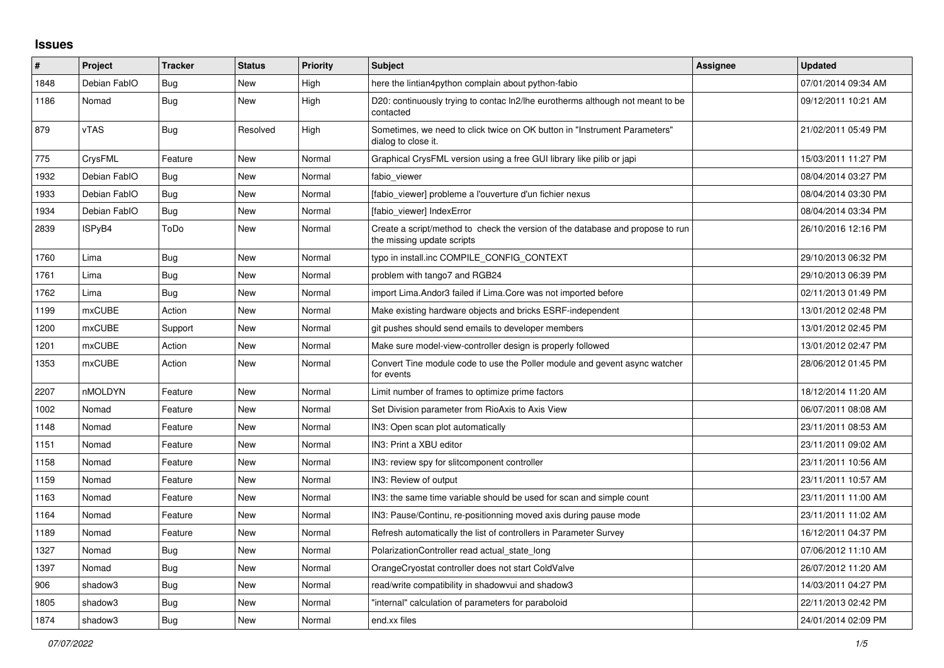## **Issues**

| #    | Project       | <b>Tracker</b> | <b>Status</b> | <b>Priority</b> | Subject                                                                                                      | <b>Assignee</b> | <b>Updated</b>      |
|------|---------------|----------------|---------------|-----------------|--------------------------------------------------------------------------------------------------------------|-----------------|---------------------|
| 1848 | Debian FablO  | <b>Bug</b>     | New           | High            | here the lintian4python complain about python-fabio                                                          |                 | 07/01/2014 09:34 AM |
| 1186 | Nomad         | <b>Bug</b>     | <b>New</b>    | High            | D20: continuously trying to contac ln2/lhe eurotherms although not meant to be<br>contacted                  |                 | 09/12/2011 10:21 AM |
| 879  | vTAS          | <b>Bug</b>     | Resolved      | High            | Sometimes, we need to click twice on OK button in "Instrument Parameters"<br>dialog to close it.             |                 | 21/02/2011 05:49 PM |
| 775  | CrysFML       | Feature        | New           | Normal          | Graphical CrysFML version using a free GUI library like pilib or japi                                        |                 | 15/03/2011 11:27 PM |
| 1932 | Debian FablO  | Bug            | <b>New</b>    | Normal          | fabio viewer                                                                                                 |                 | 08/04/2014 03:27 PM |
| 1933 | Debian FablO  | Bug            | New           | Normal          | [fabio viewer] probleme a l'ouverture d'un fichier nexus                                                     |                 | 08/04/2014 03:30 PM |
| 1934 | Debian FablO  | <b>Bug</b>     | New           | Normal          | [fabio viewer] IndexError                                                                                    |                 | 08/04/2014 03:34 PM |
| 2839 | ISPyB4        | ToDo           | New           | Normal          | Create a script/method to check the version of the database and propose to run<br>the missing update scripts |                 | 26/10/2016 12:16 PM |
| 1760 | Lima          | Bug            | New           | Normal          | typo in install.inc COMPILE CONFIG CONTEXT                                                                   |                 | 29/10/2013 06:32 PM |
| 1761 | Lima          | Bug            | <b>New</b>    | Normal          | problem with tango7 and RGB24                                                                                |                 | 29/10/2013 06:39 PM |
| 1762 | Lima          | <b>Bug</b>     | New           | Normal          | import Lima. Andor3 failed if Lima. Core was not imported before                                             |                 | 02/11/2013 01:49 PM |
| 1199 | <b>mxCUBE</b> | Action         | New           | Normal          | Make existing hardware objects and bricks ESRF-independent                                                   |                 | 13/01/2012 02:48 PM |
| 1200 | <b>mxCUBE</b> | Support        | <b>New</b>    | Normal          | git pushes should send emails to developer members                                                           |                 | 13/01/2012 02:45 PM |
| 1201 | <b>mxCUBE</b> | Action         | New           | Normal          | Make sure model-view-controller design is properly followed                                                  |                 | 13/01/2012 02:47 PM |
| 1353 | mxCUBE        | Action         | New           | Normal          | Convert Tine module code to use the Poller module and gevent async watcher<br>for events                     |                 | 28/06/2012 01:45 PM |
| 2207 | nMOLDYN       | Feature        | <b>New</b>    | Normal          | Limit number of frames to optimize prime factors                                                             |                 | 18/12/2014 11:20 AM |
| 1002 | Nomad         | Feature        | <b>New</b>    | Normal          | Set Division parameter from RioAxis to Axis View                                                             |                 | 06/07/2011 08:08 AM |
| 1148 | Nomad         | Feature        | New           | Normal          | IN3: Open scan plot automatically                                                                            |                 | 23/11/2011 08:53 AM |
| 1151 | Nomad         | Feature        | <b>New</b>    | Normal          | IN3: Print a XBU editor                                                                                      |                 | 23/11/2011 09:02 AM |
| 1158 | Nomad         | Feature        | New           | Normal          | IN3: review spy for slitcomponent controller                                                                 |                 | 23/11/2011 10:56 AM |
| 1159 | Nomad         | Feature        | New           | Normal          | IN3: Review of output                                                                                        |                 | 23/11/2011 10:57 AM |
| 1163 | Nomad         | Feature        | <b>New</b>    | Normal          | IN3: the same time variable should be used for scan and simple count                                         |                 | 23/11/2011 11:00 AM |
| 1164 | Nomad         | Feature        | New           | Normal          | IN3: Pause/Continu, re-positionning moved axis during pause mode                                             |                 | 23/11/2011 11:02 AM |
| 1189 | Nomad         | Feature        | New           | Normal          | Refresh automatically the list of controllers in Parameter Survey                                            |                 | 16/12/2011 04:37 PM |
| 1327 | Nomad         | Bug            | <b>New</b>    | Normal          | PolarizationController read actual state long                                                                |                 | 07/06/2012 11:10 AM |
| 1397 | Nomad         | Bug            | New           | Normal          | OrangeCryostat controller does not start ColdValve                                                           |                 | 26/07/2012 11:20 AM |
| 906  | shadow3       | Bug            | New           | Normal          | read/write compatibility in shadowvui and shadow3                                                            |                 | 14/03/2011 04:27 PM |
| 1805 | shadow3       | Bug            | <b>New</b>    | Normal          | "internal" calculation of parameters for paraboloid                                                          |                 | 22/11/2013 02:42 PM |
| 1874 | shadow3       | <b>Bug</b>     | New           | Normal          | end.xx files                                                                                                 |                 | 24/01/2014 02:09 PM |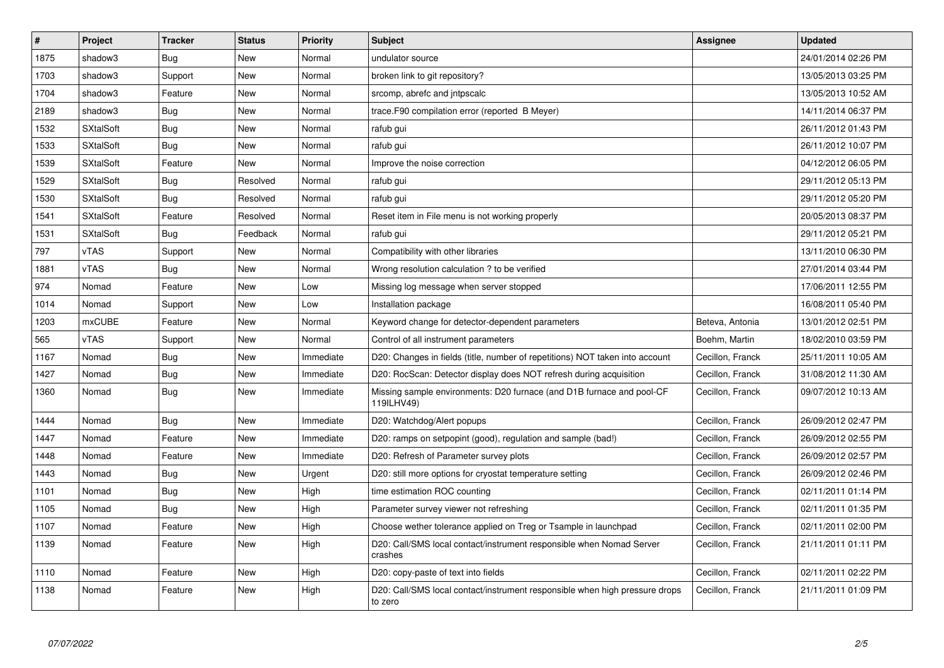| $\#$ | <b>Project</b>   | <b>Tracker</b> | <b>Status</b> | Priority  | <b>Subject</b>                                                                         | Assignee         | <b>Updated</b>      |
|------|------------------|----------------|---------------|-----------|----------------------------------------------------------------------------------------|------------------|---------------------|
| 1875 | shadow3          | <b>Bug</b>     | <b>New</b>    | Normal    | undulator source                                                                       |                  | 24/01/2014 02:26 PM |
| 1703 | shadow3          | Support        | <b>New</b>    | Normal    | broken link to git repository?                                                         |                  | 13/05/2013 03:25 PM |
| 1704 | shadow3          | Feature        | <b>New</b>    | Normal    | srcomp, abrefc and intpscalc                                                           |                  | 13/05/2013 10:52 AM |
| 2189 | shadow3          | Bug            | New           | Normal    | trace.F90 compilation error (reported B Meyer)                                         |                  | 14/11/2014 06:37 PM |
| 1532 | <b>SXtalSoft</b> | <b>Bug</b>     | <b>New</b>    | Normal    | rafub gui                                                                              |                  | 26/11/2012 01:43 PM |
| 1533 | <b>SXtalSoft</b> | Bug            | New           | Normal    | rafub gui                                                                              |                  | 26/11/2012 10:07 PM |
| 1539 | <b>SXtalSoft</b> | Feature        | New           | Normal    | Improve the noise correction                                                           |                  | 04/12/2012 06:05 PM |
| 1529 | <b>SXtalSoft</b> | Bug            | Resolved      | Normal    | rafub gui                                                                              |                  | 29/11/2012 05:13 PM |
| 1530 | <b>SXtalSoft</b> | <b>Bug</b>     | Resolved      | Normal    | rafub gui                                                                              |                  | 29/11/2012 05:20 PM |
| 1541 | <b>SXtalSoft</b> | Feature        | Resolved      | Normal    | Reset item in File menu is not working properly                                        |                  | 20/05/2013 08:37 PM |
| 1531 | <b>SXtalSoft</b> | <b>Bug</b>     | Feedback      | Normal    | rafub gui                                                                              |                  | 29/11/2012 05:21 PM |
| 797  | vTAS             | Support        | New           | Normal    | Compatibility with other libraries                                                     |                  | 13/11/2010 06:30 PM |
| 1881 | vTAS             | <b>Bug</b>     | <b>New</b>    | Normal    | Wrong resolution calculation ? to be verified                                          |                  | 27/01/2014 03:44 PM |
| 974  | Nomad            | Feature        | New           | Low       | Missing log message when server stopped                                                |                  | 17/06/2011 12:55 PM |
| 1014 | Nomad            | Support        | New           | Low       | Installation package                                                                   |                  | 16/08/2011 05:40 PM |
| 1203 | mxCUBE           | Feature        | <b>New</b>    | Normal    | Keyword change for detector-dependent parameters                                       | Beteva, Antonia  | 13/01/2012 02:51 PM |
| 565  | vTAS             | Support        | <b>New</b>    | Normal    | Control of all instrument parameters                                                   | Boehm, Martin    | 18/02/2010 03:59 PM |
| 1167 | Nomad            | <b>Bug</b>     | New           | Immediate | D20: Changes in fields (title, number of repetitions) NOT taken into account           | Cecillon, Franck | 25/11/2011 10:05 AM |
| 1427 | Nomad            | <b>Bug</b>     | <b>New</b>    | Immediate | D20: RocScan: Detector display does NOT refresh during acquisition                     | Cecillon, Franck | 31/08/2012 11:30 AM |
| 1360 | Nomad            | <b>Bug</b>     | New           | Immediate | Missing sample environments: D20 furnace (and D1B furnace and pool-CF<br>119ILHV49)    | Cecillon, Franck | 09/07/2012 10:13 AM |
| 1444 | Nomad            | <b>Bug</b>     | New           | Immediate | D20: Watchdog/Alert popups                                                             | Cecillon, Franck | 26/09/2012 02:47 PM |
| 1447 | Nomad            | Feature        | New           | Immediate | D20: ramps on setpopint (good), regulation and sample (bad!)                           | Cecillon, Franck | 26/09/2012 02:55 PM |
| 1448 | Nomad            | Feature        | New           | Immediate | D20: Refresh of Parameter survey plots                                                 | Cecillon, Franck | 26/09/2012 02:57 PM |
| 1443 | Nomad            | Bug            | New           | Urgent    | D20: still more options for cryostat temperature setting                               | Cecillon, Franck | 26/09/2012 02:46 PM |
| 1101 | Nomad            | <b>Bug</b>     | New           | High      | time estimation ROC counting                                                           | Cecillon, Franck | 02/11/2011 01:14 PM |
| 1105 | Nomad            | Bug            | <b>New</b>    | High      | Parameter survey viewer not refreshing                                                 | Cecillon, Franck | 02/11/2011 01:35 PM |
| 1107 | Nomad            | Feature        | New           | High      | Choose wether tolerance applied on Treg or Tsample in launchpad                        | Cecillon, Franck | 02/11/2011 02:00 PM |
| 1139 | Nomad            | Feature        | New           | High      | D20: Call/SMS local contact/instrument responsible when Nomad Server<br>crashes        | Cecillon, Franck | 21/11/2011 01:11 PM |
| 1110 | Nomad            | Feature        | New           | High      | D20: copy-paste of text into fields                                                    | Cecillon, Franck | 02/11/2011 02:22 PM |
| 1138 | Nomad            | Feature        | New           | High      | D20: Call/SMS local contact/instrument responsible when high pressure drops<br>to zero | Cecillon, Franck | 21/11/2011 01:09 PM |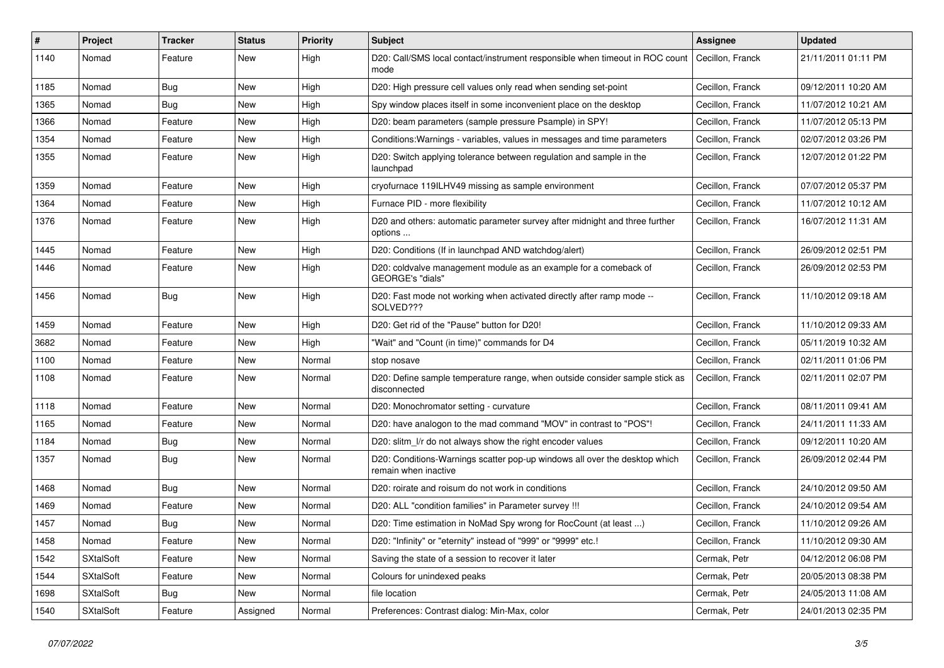| #    | Project          | <b>Tracker</b> | <b>Status</b> | Priority | <b>Subject</b>                                                                                     | <b>Assignee</b>  | <b>Updated</b>      |
|------|------------------|----------------|---------------|----------|----------------------------------------------------------------------------------------------------|------------------|---------------------|
| 1140 | Nomad            | Feature        | New           | High     | D20: Call/SMS local contact/instrument responsible when timeout in ROC count<br>mode               | Cecillon, Franck | 21/11/2011 01:11 PM |
| 1185 | Nomad            | <b>Bug</b>     | New           | High     | D20: High pressure cell values only read when sending set-point                                    | Cecillon, Franck | 09/12/2011 10:20 AM |
| 1365 | Nomad            | <b>Bug</b>     | New           | High     | Spy window places itself in some inconvenient place on the desktop                                 | Cecillon, Franck | 11/07/2012 10:21 AM |
| 1366 | Nomad            | Feature        | New           | High     | D20: beam parameters (sample pressure Psample) in SPY!                                             | Cecillon, Franck | 11/07/2012 05:13 PM |
| 1354 | Nomad            | Feature        | New           | High     | Conditions: Warnings - variables, values in messages and time parameters                           | Cecillon, Franck | 02/07/2012 03:26 PM |
| 1355 | Nomad            | Feature        | New           | High     | D20: Switch applying tolerance between regulation and sample in the<br>launchpad                   | Cecillon, Franck | 12/07/2012 01:22 PM |
| 1359 | Nomad            | Feature        | New           | High     | cryofurnace 119ILHV49 missing as sample environment                                                | Cecillon, Franck | 07/07/2012 05:37 PM |
| 1364 | Nomad            | Feature        | <b>New</b>    | High     | Furnace PID - more flexibility                                                                     | Cecillon, Franck | 11/07/2012 10:12 AM |
| 1376 | Nomad            | Feature        | New           | High     | D20 and others: automatic parameter survey after midnight and three further<br>options             | Cecillon, Franck | 16/07/2012 11:31 AM |
| 1445 | Nomad            | Feature        | New           | High     | D20: Conditions (If in launchpad AND watchdog/alert)                                               | Cecillon, Franck | 26/09/2012 02:51 PM |
| 1446 | Nomad            | Feature        | New           | High     | D20: coldvalve management module as an example for a comeback of<br>GEORGE's "dials"               | Cecillon, Franck | 26/09/2012 02:53 PM |
| 1456 | Nomad            | <b>Bug</b>     | New           | High     | D20: Fast mode not working when activated directly after ramp mode --<br>SOLVED???                 | Cecillon, Franck | 11/10/2012 09:18 AM |
| 1459 | Nomad            | Feature        | New           | High     | D20: Get rid of the "Pause" button for D20!                                                        | Cecillon, Franck | 11/10/2012 09:33 AM |
| 3682 | Nomad            | Feature        | New           | High     | "Wait" and "Count (in time)" commands for D4                                                       | Cecillon, Franck | 05/11/2019 10:32 AM |
| 1100 | Nomad            | Feature        | <b>New</b>    | Normal   | stop nosave                                                                                        | Cecillon, Franck | 02/11/2011 01:06 PM |
| 1108 | Nomad            | Feature        | New           | Normal   | D20: Define sample temperature range, when outside consider sample stick as<br>disconnected        | Cecillon, Franck | 02/11/2011 02:07 PM |
| 1118 | Nomad            | Feature        | New           | Normal   | D20: Monochromator setting - curvature                                                             | Cecillon, Franck | 08/11/2011 09:41 AM |
| 1165 | Nomad            | Feature        | New           | Normal   | D20: have analogon to the mad command "MOV" in contrast to "POS"!                                  | Cecillon, Franck | 24/11/2011 11:33 AM |
| 1184 | Nomad            | <b>Bug</b>     | New           | Normal   | D20: slitm I/r do not always show the right encoder values                                         | Cecillon, Franck | 09/12/2011 10:20 AM |
| 1357 | Nomad            | <b>Bug</b>     | New           | Normal   | D20: Conditions-Warnings scatter pop-up windows all over the desktop which<br>remain when inactive | Cecillon, Franck | 26/09/2012 02:44 PM |
| 1468 | Nomad            | <b>Bug</b>     | New           | Normal   | D20: roirate and roisum do not work in conditions                                                  | Cecillon, Franck | 24/10/2012 09:50 AM |
| 1469 | Nomad            | Feature        | New           | Normal   | D20: ALL "condition families" in Parameter survey !!!                                              | Cecillon, Franck | 24/10/2012 09:54 AM |
| 1457 | Nomad            | <b>Bug</b>     | <b>New</b>    | Normal   | D20: Time estimation in NoMad Spy wrong for RocCount (at least )                                   | Cecillon, Franck | 11/10/2012 09:26 AM |
| 1458 | Nomad            | Feature        | New           | Normal   | D20: "Infinity" or "eternity" instead of "999" or "9999" etc.!                                     | Cecillon, Franck | 11/10/2012 09:30 AM |
| 1542 | <b>SXtalSoft</b> | Feature        | New           | Normal   | Saving the state of a session to recover it later                                                  | Cermak, Petr     | 04/12/2012 06:08 PM |
| 1544 | <b>SXtalSoft</b> | Feature        | New           | Normal   | Colours for unindexed peaks                                                                        | Cermak, Petr     | 20/05/2013 08:38 PM |
| 1698 | <b>SXtalSoft</b> | <b>Bug</b>     | New           | Normal   | file location                                                                                      | Cermak, Petr     | 24/05/2013 11:08 AM |
| 1540 | SXtalSoft        | Feature        | Assigned      | Normal   | Preferences: Contrast dialog: Min-Max, color                                                       | Cermak, Petr     | 24/01/2013 02:35 PM |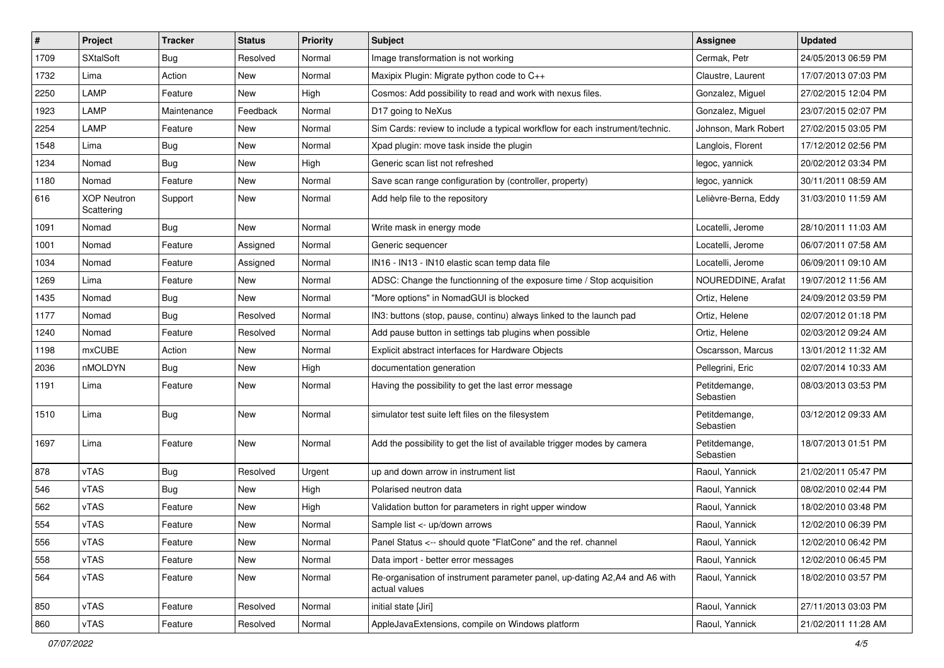| $\#$ | Project                          | Tracker     | <b>Status</b> | <b>Priority</b> | <b>Subject</b>                                                                              | <b>Assignee</b>            | <b>Updated</b>      |
|------|----------------------------------|-------------|---------------|-----------------|---------------------------------------------------------------------------------------------|----------------------------|---------------------|
| 1709 | <b>SXtalSoft</b>                 | Bug         | Resolved      | Normal          | Image transformation is not working                                                         | Cermak, Petr               | 24/05/2013 06:59 PM |
| 1732 | Lima                             | Action      | New           | Normal          | Maxipix Plugin: Migrate python code to C++                                                  | Claustre, Laurent          | 17/07/2013 07:03 PM |
| 2250 | LAMP                             | Feature     | New           | High            | Cosmos: Add possibility to read and work with nexus files.                                  | Gonzalez, Miguel           | 27/02/2015 12:04 PM |
| 1923 | LAMP                             | Maintenance | Feedback      | Normal          | D17 going to NeXus                                                                          | Gonzalez, Miguel           | 23/07/2015 02:07 PM |
| 2254 | LAMP                             | Feature     | New           | Normal          | Sim Cards: review to include a typical workflow for each instrument/technic.                | Johnson, Mark Robert       | 27/02/2015 03:05 PM |
| 1548 | Lima                             | <b>Bug</b>  | New           | Normal          | Xpad plugin: move task inside the plugin                                                    | Langlois, Florent          | 17/12/2012 02:56 PM |
| 1234 | Nomad                            | <b>Bug</b>  | New           | High            | Generic scan list not refreshed                                                             | legoc, yannick             | 20/02/2012 03:34 PM |
| 1180 | Nomad                            | Feature     | New           | Normal          | Save scan range configuration by (controller, property)                                     | legoc, yannick             | 30/11/2011 08:59 AM |
| 616  | <b>XOP Neutron</b><br>Scattering | Support     | New           | Normal          | Add help file to the repository                                                             | Lelièvre-Berna, Eddy       | 31/03/2010 11:59 AM |
| 1091 | Nomad                            | Bug         | New           | Normal          | Write mask in energy mode                                                                   | Locatelli, Jerome          | 28/10/2011 11:03 AM |
| 1001 | Nomad                            | Feature     | Assigned      | Normal          | Generic sequencer                                                                           | Locatelli, Jerome          | 06/07/2011 07:58 AM |
| 1034 | Nomad                            | Feature     | Assigned      | Normal          | IN16 - IN13 - IN10 elastic scan temp data file                                              | Locatelli, Jerome          | 06/09/2011 09:10 AM |
| 1269 | Lima                             | Feature     | New           | Normal          | ADSC: Change the functionning of the exposure time / Stop acquisition                       | NOUREDDINE, Arafat         | 19/07/2012 11:56 AM |
| 1435 | Nomad                            | <b>Bug</b>  | New           | Normal          | "More options" in NomadGUI is blocked                                                       | Ortiz, Helene              | 24/09/2012 03:59 PM |
| 1177 | Nomad                            | Bug         | Resolved      | Normal          | IN3: buttons (stop, pause, continu) always linked to the launch pad                         | Ortiz, Helene              | 02/07/2012 01:18 PM |
| 1240 | Nomad                            | Feature     | Resolved      | Normal          | Add pause button in settings tab plugins when possible                                      | Ortiz, Helene              | 02/03/2012 09:24 AM |
| 1198 | mxCUBE                           | Action      | New           | Normal          | Explicit abstract interfaces for Hardware Objects                                           | Oscarsson, Marcus          | 13/01/2012 11:32 AM |
| 2036 | nMOLDYN                          | <b>Bug</b>  | New           | High            | documentation generation                                                                    | Pellegrini, Eric           | 02/07/2014 10:33 AM |
| 1191 | Lima                             | Feature     | New           | Normal          | Having the possibility to get the last error message                                        | Petitdemange,<br>Sebastien | 08/03/2013 03:53 PM |
| 1510 | Lima                             | Bug         | New           | Normal          | simulator test suite left files on the filesystem                                           | Petitdemange,<br>Sebastien | 03/12/2012 09:33 AM |
| 1697 | Lima                             | Feature     | New           | Normal          | Add the possibility to get the list of available trigger modes by camera                    | Petitdemange,<br>Sebastien | 18/07/2013 01:51 PM |
| 878  | vTAS                             | <b>Bug</b>  | Resolved      | Urgent          | up and down arrow in instrument list                                                        | Raoul, Yannick             | 21/02/2011 05:47 PM |
| 546  | vTAS                             | Bug         | New           | High            | Polarised neutron data                                                                      | Raoul, Yannick             | 08/02/2010 02:44 PM |
| 562  | vTAS                             | Feature     | New           | High            | Validation button for parameters in right upper window                                      | Raoul, Yannick             | 18/02/2010 03:48 PM |
| 554  | vTAS                             | Feature     | New           | Normal          | Sample list <- up/down arrows                                                               | Raoul, Yannick             | 12/02/2010 06:39 PM |
| 556  | vTAS                             | Feature     | New           | Normal          | Panel Status <-- should quote "FlatCone" and the ref. channel                               | Raoul, Yannick             | 12/02/2010 06:42 PM |
| 558  | vTAS                             | Feature     | New           | Normal          | Data import - better error messages                                                         | Raoul, Yannick             | 12/02/2010 06:45 PM |
| 564  | vTAS                             | Feature     | New           | Normal          | Re-organisation of instrument parameter panel, up-dating A2,A4 and A6 with<br>actual values | Raoul, Yannick             | 18/02/2010 03:57 PM |
| 850  | vTAS                             | Feature     | Resolved      | Normal          | initial state [Jiri]                                                                        | Raoul, Yannick             | 27/11/2013 03:03 PM |
| 860  | vTAS                             | Feature     | Resolved      | Normal          | AppleJavaExtensions, compile on Windows platform                                            | Raoul, Yannick             | 21/02/2011 11:28 AM |